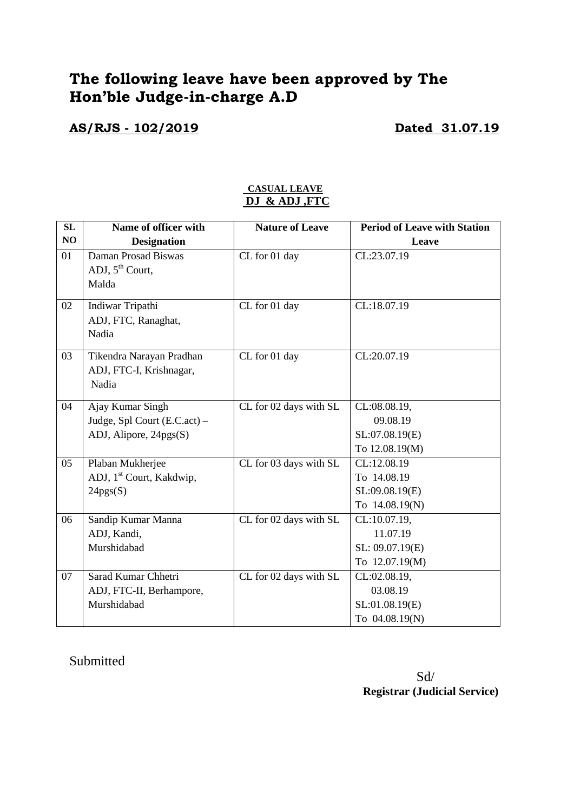## **The following leave have been approved by The Hon'ble Judge-in-charge A.D**

#### **AS/RJS - 102/2019 Dated 31.07.19**

| <b>SL</b> | Name of officer with                 | <b>Nature of Leave</b>                     | <b>Period of Leave with Station</b> |
|-----------|--------------------------------------|--------------------------------------------|-------------------------------------|
| NO        | <b>Designation</b>                   |                                            | Leave                               |
| 01        | Daman Prosad Biswas                  | CL for 01 day                              | CL:23.07.19                         |
|           | ADJ, $5^{\text{th}}$ Court,          |                                            |                                     |
|           | Malda                                |                                            |                                     |
| 02        | Indiwar Tripathi                     | CL for 01 day                              | CL:18.07.19                         |
|           | ADJ, FTC, Ranaghat,                  |                                            |                                     |
|           | Nadia                                |                                            |                                     |
| 03        | Tikendra Narayan Pradhan             | CL for 01 day                              | CL:20.07.19                         |
|           | ADJ, FTC-I, Krishnagar,              |                                            |                                     |
|           | Nadia                                |                                            |                                     |
| 04        | Ajay Kumar Singh                     | CL for 02 days with SL                     | CL:08.08.19,                        |
|           | Judge, Spl Court (E.C.act) -         |                                            | 09.08.19                            |
|           | ADJ, Alipore, 24pgs(S)               |                                            | SL:07.08.19(E)                      |
|           |                                      |                                            | To 12.08.19(M)                      |
| 05        | Plaban Mukherjee                     | $\overline{\text{CL}}$ for 03 days with SL | CL:12.08.19                         |
|           | ADJ, 1 <sup>st</sup> Court, Kakdwip, |                                            | To 14.08.19                         |
|           | 24pgs(S)                             |                                            | SL:09.08.19(E)                      |
|           |                                      |                                            | To 14.08.19(N)                      |
| 06        | Sandip Kumar Manna                   | CL for 02 days with SL                     | CL:10.07.19,                        |
|           | ADJ, Kandi,                          |                                            | 11.07.19                            |
|           | Murshidabad                          |                                            | SL: 09.07.19(E)                     |
|           |                                      |                                            | To 12.07.19(M)                      |
| 07        | Sarad Kumar Chhetri                  | CL for 02 days with SL                     | CL:02.08.19,                        |
|           | ADJ, FTC-II, Berhampore,             |                                            | 03.08.19                            |
|           | Murshidabad                          |                                            | SL:01.08.19(E)                      |
|           |                                      |                                            | To 04.08.19(N)                      |

#### **CASUAL LEAVE DJ & ADJ ,FTC**

#### Submitted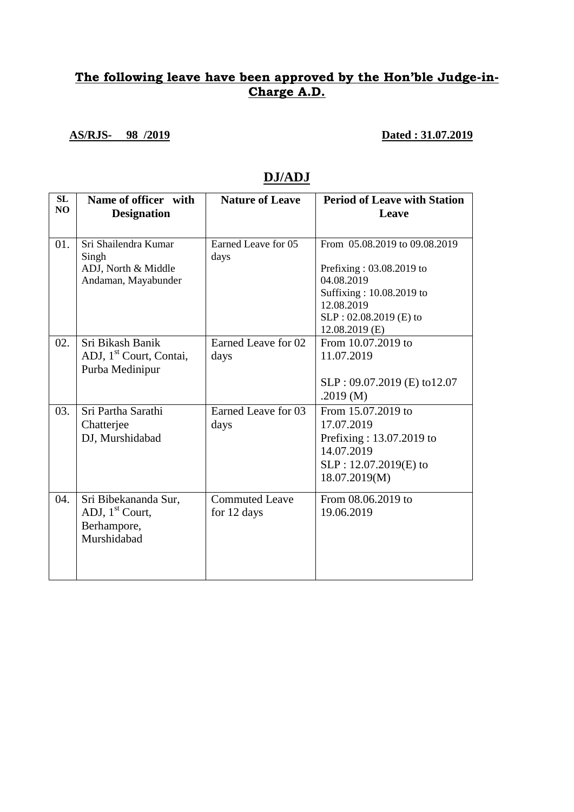### **The following leave have been approved by the Hon'ble Judge-in-Charge A.D.**

**AS/RJS- 98 /2019 Dated : 31.07.2019**

| SL<br>NO | Name of officer with<br><b>Designation</b>                                        | <b>Nature of Leave</b>               | <b>Period of Leave with Station</b><br>Leave                                                                                                                    |
|----------|-----------------------------------------------------------------------------------|--------------------------------------|-----------------------------------------------------------------------------------------------------------------------------------------------------------------|
| 01.      | Sri Shailendra Kumar<br>Singh<br>ADJ, North & Middle<br>Andaman, Mayabunder       | Earned Leave for 05<br>days          | From 05.08.2019 to 09.08.2019<br>Prefixing: 03.08.2019 to<br>04.08.2019<br>Suffixing: 10.08.2019 to<br>12.08.2019<br>SLP: 02.08.2019 (E) to<br>$12.08.2019$ (E) |
| 02.      | Sri Bikash Banik<br>ADJ, 1 <sup>st</sup> Court, Contai,<br>Purba Medinipur        | Earned Leave for 02<br>days          | From 10.07.2019 to<br>11.07.2019<br>$SLP: 09.07.2019$ (E) to 12.07<br>.2019 $(M)$                                                                               |
| 03.      | Sri Partha Sarathi<br>Chatterjee<br>DJ, Murshidabad                               | Earned Leave for 03<br>days          | From 15.07.2019 to<br>17.07.2019<br>Prefixing: 13.07.2019 to<br>14.07.2019<br>$SLP: 12.07.2019(E)$ to<br>18.07.2019(M)                                          |
| 04.      | Sri Bibekananda Sur,<br>ADJ, 1 <sup>st</sup> Court,<br>Berhampore,<br>Murshidabad | <b>Commuted Leave</b><br>for 12 days | From 08.06.2019 to<br>19.06.2019                                                                                                                                |

#### **DJ/ADJ**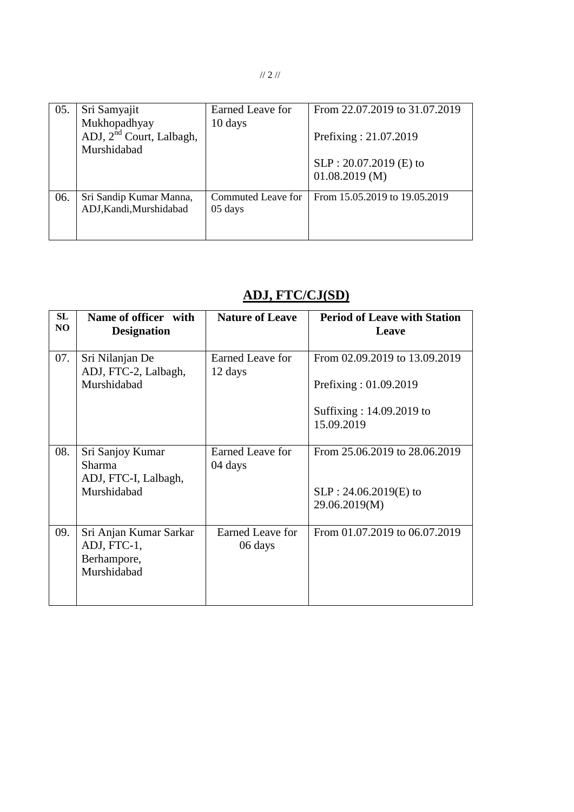// 2 //

| 05. | Sri Samyajit<br>Mukhopadhyay                        | Earned Leave for<br>10 days             | From 22.07.2019 to 31.07.2019                |
|-----|-----------------------------------------------------|-----------------------------------------|----------------------------------------------|
|     | ADJ, 2 <sup>nd</sup> Court, Lalbagh,<br>Murshidabad |                                         | Prefixing: 21.07.2019                        |
|     |                                                     |                                         | $SLP: 20.07.2019$ (E) to<br>$01.08.2019$ (M) |
| 06. | Sri Sandip Kumar Manna,<br>ADJ, Kandi, Murshidabad  | Commuted Leave for<br>$05 \text{ days}$ | From 15.05.2019 to 19.05.2019                |

## **ADJ, FTC/CJ(SD)**

| SL<br>NO. | Name of officer with<br><b>Designation</b>                          | <b>Nature of Leave</b>      | <b>Period of Leave with Station</b><br>Leave           |
|-----------|---------------------------------------------------------------------|-----------------------------|--------------------------------------------------------|
| 07.       | Sri Nilanjan De<br>ADJ, FTC-2, Lalbagh,<br>Murshidabad              | Earned Leave for<br>12 days | From 02.09.2019 to 13.09.2019<br>Prefixing: 01.09.2019 |
|           |                                                                     |                             | Suffixing: 14.09.2019 to<br>15.09.2019                 |
| 08.       | Sri Sanjoy Kumar<br>Sharma<br>ADJ, FTC-I, Lalbagh,                  | Earned Leave for<br>04 days | From 25.06.2019 to 28.06.2019                          |
|           | Murshidabad                                                         |                             | $SLP: 24.06.2019(E)$ to<br>29.06.2019(M)               |
| 09.       | Sri Anjan Kumar Sarkar<br>ADJ, FTC-1,<br>Berhampore,<br>Murshidabad | Earned Leave for<br>06 days | From 01.07.2019 to 06.07.2019                          |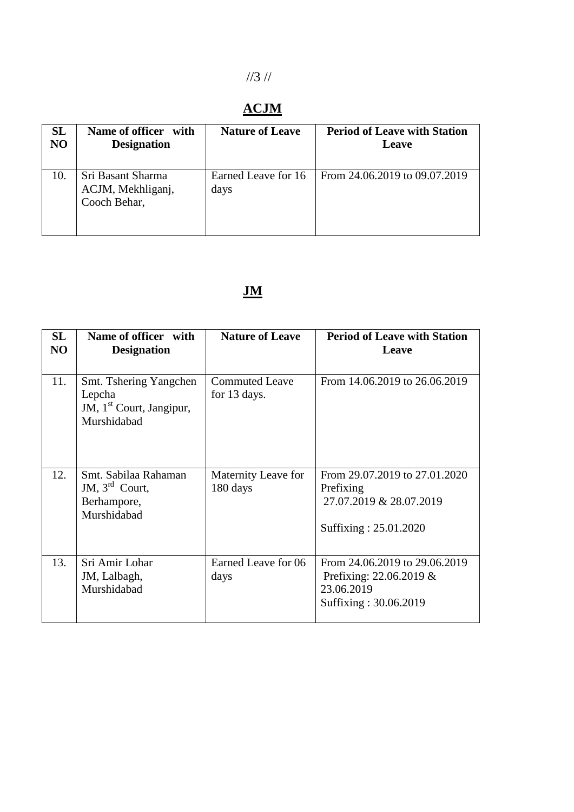# //3 //

## **ACJM**

| <b>SL</b><br>N <sub>O</sub> | Name of officer<br>with<br><b>Designation</b>          | <b>Nature of Leave</b>      | <b>Period of Leave with Station</b><br>Leave |
|-----------------------------|--------------------------------------------------------|-----------------------------|----------------------------------------------|
| 10.                         | Sri Basant Sharma<br>ACJM, Mekhliganj,<br>Cooch Behar, | Earned Leave for 16<br>days | From 24.06.2019 to 09.07.2019                |

# **JM**

| SL<br>NO | Name of officer with<br><b>Designation</b>                                              | <b>Nature of Leave</b>                | <b>Period of Leave with Station</b><br>Leave                                                       |
|----------|-----------------------------------------------------------------------------------------|---------------------------------------|----------------------------------------------------------------------------------------------------|
| 11.      | Smt. Tshering Yangchen<br>Lepcha<br>JM, 1 <sup>st</sup> Court, Jangipur,<br>Murshidabad | <b>Commuted Leave</b><br>for 13 days. | From 14.06.2019 to 26.06.2019                                                                      |
| 12.      | Smt. Sabilaa Rahaman<br>JM, $3^{\text{rd}}$ Court,<br>Berhampore,<br>Murshidabad        | Maternity Leave for<br>180 days       | From 29.07.2019 to 27.01.2020<br>Prefixing<br>27.07.2019 & 28.07.2019<br>Suffixing: 25.01.2020     |
| 13.      | Sri Amir Lohar<br>JM, Lalbagh,<br>Murshidabad                                           | Earned Leave for 06<br>days           | From 24.06.2019 to 29.06.2019<br>Prefixing: $22.06.2019 \&$<br>23.06.2019<br>Suffixing: 30.06.2019 |